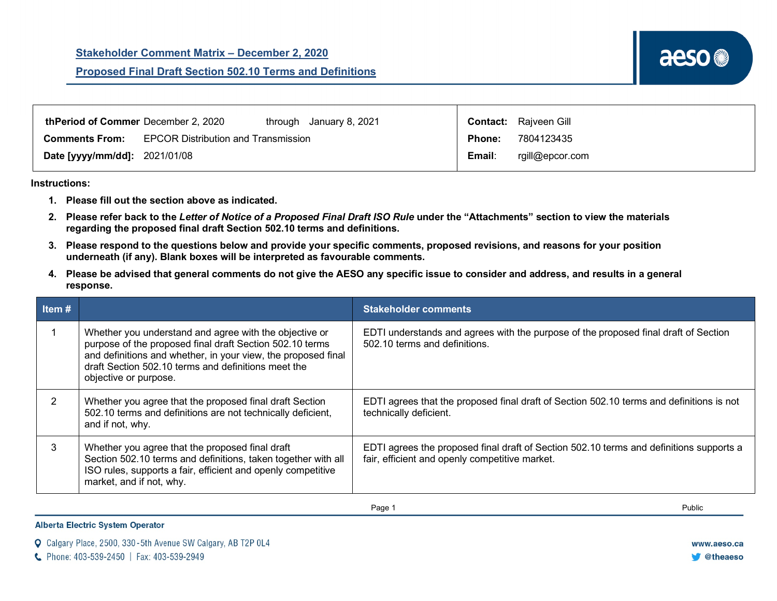| thPeriod of Commer December 2, 2020<br>through January 8, 2021      | <b>Contact:</b> Rajveen Gill |
|---------------------------------------------------------------------|------------------------------|
| <b>EPCOR Distribution and Transmission</b><br><b>Comments From:</b> | 7804123435<br><b>Phone:</b>  |
| <b>Date [yyyy/mm/dd]: 2021/01/08</b>                                | Email:<br>rgill@epcor.com    |

## **Instructions:**

- **1. Please fill out the section above as indicated.**
- **2. Please refer back to the** *Letter of Notice of a Proposed Final Draft ISO Rule* **under the "Attachments" section to view the materials regarding the proposed final draft Section 502.10 terms and definitions.**
- **3. Please respond to the questions below and provide your specific comments, proposed revisions, and reasons for your position underneath (if any). Blank boxes will be interpreted as favourable comments.**
- **4. Please be advised that general comments do not give the AESO any specific issue to consider and address, and results in a general response.**

| Item # |                                                                                                                                                                                                                                                                     | <b>Stakeholder comments</b>                                                                                                               |
|--------|---------------------------------------------------------------------------------------------------------------------------------------------------------------------------------------------------------------------------------------------------------------------|-------------------------------------------------------------------------------------------------------------------------------------------|
|        | Whether you understand and agree with the objective or<br>purpose of the proposed final draft Section 502.10 terms<br>and definitions and whether, in your view, the proposed final<br>draft Section 502.10 terms and definitions meet the<br>objective or purpose. | EDTI understands and agrees with the purpose of the proposed final draft of Section<br>502.10 terms and definitions.                      |
|        | Whether you agree that the proposed final draft Section<br>502.10 terms and definitions are not technically deficient,<br>and if not, why.                                                                                                                          | EDTI agrees that the proposed final draft of Section 502.10 terms and definitions is not<br>technically deficient.                        |
|        | Whether you agree that the proposed final draft<br>Section 502.10 terms and definitions, taken together with all<br>ISO rules, supports a fair, efficient and openly competitive<br>market, and if not, why.                                                        | EDTI agrees the proposed final draft of Section 502.10 terms and definitions supports a<br>fair, efficient and openly competitive market. |

Page 1 Public

**Alberta Electric System Operator** 

|  |  |  |  |  |  |  | <b>Q</b> Calgary Place, 2500, 330-5th Avenue SW Calgary, AB T2P 0L4 |
|--|--|--|--|--|--|--|---------------------------------------------------------------------|
|--|--|--|--|--|--|--|---------------------------------------------------------------------|

C Phone: 403-539-2450 | Fax: 403-539-2949